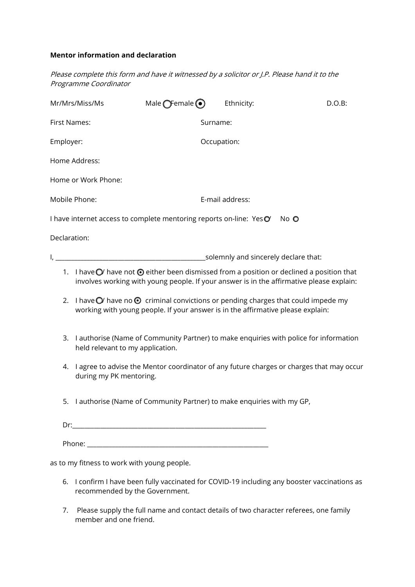## **Mentor information and declaration**

Please complete this form and have it witnessed by a solicitor or J.P. Please hand it to the Programme Coordinator

|               | Mr/Mrs/Miss/Ms                                                                                                                                                                                         | Male $\bigcirc$ Female $\odot$                                          | Ethnicity:  | D.O.B:                                                                                   |  |  |
|---------------|--------------------------------------------------------------------------------------------------------------------------------------------------------------------------------------------------------|-------------------------------------------------------------------------|-------------|------------------------------------------------------------------------------------------|--|--|
| First Names:  |                                                                                                                                                                                                        | Surname:                                                                |             |                                                                                          |  |  |
| Employer:     |                                                                                                                                                                                                        |                                                                         | Occupation: |                                                                                          |  |  |
|               | Home Address:                                                                                                                                                                                          |                                                                         |             |                                                                                          |  |  |
|               | Home or Work Phone:                                                                                                                                                                                    |                                                                         |             |                                                                                          |  |  |
| Mobile Phone: |                                                                                                                                                                                                        | E-mail address:                                                         |             |                                                                                          |  |  |
|               |                                                                                                                                                                                                        | I have internet access to complete mentoring reports on-line: Yes $O$   |             | No O                                                                                     |  |  |
| Declaration:  |                                                                                                                                                                                                        |                                                                         |             |                                                                                          |  |  |
|               |                                                                                                                                                                                                        |                                                                         |             |                                                                                          |  |  |
|               | 1. I have $\bigcirc$ have not $\bigcirc$ either been dismissed from a position or declined a position that<br>involves working with young people. If your answer is in the affirmative please explain: |                                                                         |             |                                                                                          |  |  |
| 2.            | I have $\bigcirc$ have no $\bigcirc$ criminal convictions or pending charges that could impede my<br>working with young people. If your answer is in the affirmative please explain:                   |                                                                         |             |                                                                                          |  |  |
| 3.            | I authorise (Name of Community Partner) to make enquiries with police for information<br>held relevant to my application.                                                                              |                                                                         |             |                                                                                          |  |  |
| 4.            | during my PK mentoring.                                                                                                                                                                                |                                                                         |             | I agree to advise the Mentor coordinator of any future charges or charges that may occur |  |  |
|               |                                                                                                                                                                                                        | 5. I authorise (Name of Community Partner) to make enquiries with my GP |             |                                                                                          |  |  |
|               |                                                                                                                                                                                                        |                                                                         |             |                                                                                          |  |  |
|               |                                                                                                                                                                                                        |                                                                         |             |                                                                                          |  |  |
|               | as to my fitness to work with young people.                                                                                                                                                            |                                                                         |             |                                                                                          |  |  |
| 6.            | I confirm I have been fully vaccinated for COVID-19 including any booster vaccinations as                                                                                                              |                                                                         |             |                                                                                          |  |  |

7. Please supply the full name and contact details of two character referees, one family member and one friend.

recommended by the Government.